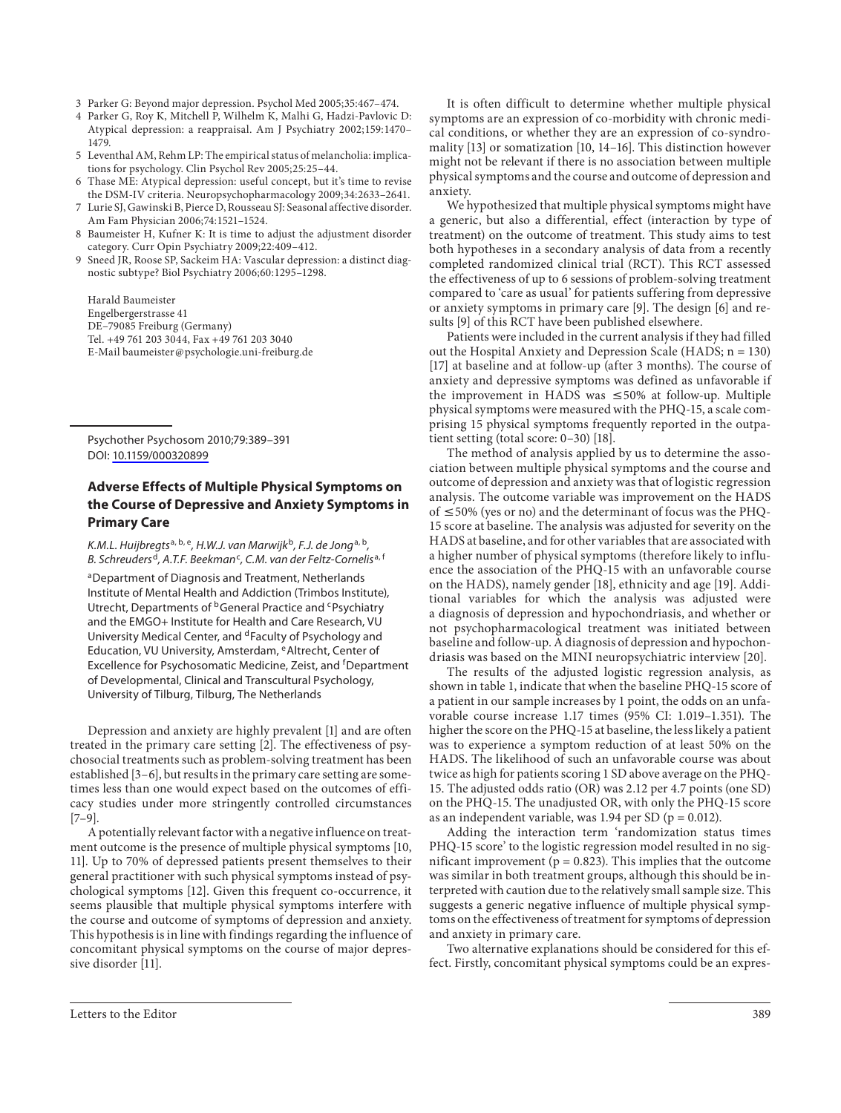- 3 Parker G: Beyond major depression. Psychol Med 2005;35:467–474.
- 4 Parker G, Roy K, Mitchell P, Wilhelm K, Malhi G, Hadzi-Pavlovic D: Atypical depression: a reappraisal. Am J Psychiatry 2002;159:1470– 1479.
- 5 Leventhal AM, Rehm LP: The empirical status of melancholia: implications for psychology. Clin Psychol Rev 2005;25:25–44.
- 6 Thase ME: Atypical depression: useful concept, but it's time to revise the DSM-IV criteria. Neuropsychopharmacology 2009;34:2633–2641.
- 7 Lurie SJ, Gawinski B, Pierce D, Rousseau SJ: Seasonal affective disorder. Am Fam Physician 2006;74:1521–1524.
- 8 Baumeister H, Kufner K: It is time to adjust the adjustment disorder category. Curr Opin Psychiatry 2009;22:409–412.
- 9 Sneed JR, Roose SP, Sackeim HA: Vascular depression: a distinct diagnostic subtype? Biol Psychiatry 2006;60:1295–1298.

 Harald Baumeister Engelbergerstrasse 41 DE–79085 Freiburg (Germany) Tel. +49 761 203 3044, Fax +49 761 203 3040 E-Mail baumeister @ psychologie.uni-freiburg.de

 Psychother Psychosom 2010;79:389–391 DOI: [10.1159/000320899](http://dx.doi.org/10.1159%2F000320899)

## **Adverse Effects of Multiple Physical Symptoms on the Course of Depressive and Anxiety Symptoms in Primary Care**

K.M.L. Huijbregts<sup>a, b, e</sup>, H.W.J. van Marwijk<sup>b</sup>, F.J. de Jong<sup>a, b</sup>, B. Schreuders<sup>d</sup>, A.T.F. Beekman<sup>c</sup>, C.M. van der Feltz-Cornelis<sup>a, f</sup>

a Department of Diagnosis and Treatment, Netherlands Institute of Mental Health and Addiction (Trimbos Institute), Utrecht, Departments of <sup>b</sup> General Practice and <sup>c</sup> Psychiatry and the EMGO+ Institute for Health and Care Research, VU University Medical Center, and <sup>d</sup> Faculty of Psychology and Education, VU University, Amsterdam, <sup>e</sup> Altrecht, Center of Excellence for Psychosomatic Medicine, Zeist, and <sup>f</sup>Department of Developmental, Clinical and Transcultural Psychology, University of Tilburg, Tilburg, The Netherlands

 Depression and anxiety are highly prevalent [1] and are often treated in the primary care setting [2]. The effectiveness of psychosocial treatments such as problem-solving treatment has been established [3–6], but results in the primary care setting are sometimes less than one would expect based on the outcomes of efficacy studies under more stringently controlled circumstances  $[7-9]$ .

 A potentially relevant factor with a negative influence on treatment outcome is the presence of multiple physical symptoms [10, 11]. Up to 70% of depressed patients present themselves to their general practitioner with such physical symptoms instead of psychological symptoms [12]. Given this frequent co-occurrence, it seems plausible that multiple physical symptoms interfere with the course and outcome of symptoms of depression and anxiety. This hypothesis is in line with findings regarding the influence of concomitant physical symptoms on the course of major depressive disorder [11].

 It is often difficult to determine whether multiple physical symptoms are an expression of co-morbidity with chronic medical conditions, or whether they are an expression of co-syndromality [13] or somatization [10, 14–16] . This distinction however might not be relevant if there is no association between multiple physical symptoms and the course and outcome of depression and anxiety.

 We hypothesized that multiple physical symptoms might have a generic, but also a differential, effect (interaction by type of treatment) on the outcome of treatment. This study aims to test both hypotheses in a secondary analysis of data from a recently completed randomized clinical trial (RCT). This RCT assessed the effectiveness of up to 6 sessions of problem-solving treatment compared to 'care as usual' for patients suffering from depressive or anxiety symptoms in primary care [9]. The design [6] and results [9] of this RCT have been published elsewhere.

 Patients were included in the current analysis if they had filled out the Hospital Anxiety and Depression Scale (HADS; n = 130) [17] at baseline and at follow-up (after 3 months). The course of anxiety and depressive symptoms was defined as unfavorable if the improvement in HADS was  $\leq 50\%$  at follow-up. Multiple physical symptoms were measured with the PHQ-15, a scale comprising 15 physical symptoms frequently reported in the outpatient setting (total score: 0–30) [18] .

 The method of analysis applied by us to determine the association between multiple physical symptoms and the course and outcome of depression and anxiety was that of logistic regression analysis. The outcome variable was improvement on the HADS of  $\leq 50\%$  (yes or no) and the determinant of focus was the PHQ-15 score at baseline. The analysis was adjusted for severity on the HADS at baseline, and for other variables that are associated with a higher number of physical symptoms (therefore likely to influence the association of the PHQ-15 with an unfavorable course on the HADS), namely gender [18] , ethnicity and age [19] . Additional variables for which the analysis was adjusted were a diagnosis of depression and hypochondriasis, and whether or not psychopharmacological treatment was initiated between baseline and follow-up. A diagnosis of depression and hypochondriasis was based on the MINI neuropsychiatric interview [20] .

 The results of the adjusted logistic regression analysis, as shown in table 1, indicate that when the baseline PHQ-15 score of a patient in our sample increases by 1 point, the odds on an unfavorable course increase 1.17 times (95% CI: 1.019–1.351). The higher the score on the PHQ-15 at baseline, the less likely a patient was to experience a symptom reduction of at least 50% on the HADS. The likelihood of such an unfavorable course was about twice as high for patients scoring 1 SD above average on the PHQ-15. The adjusted odds ratio (OR) was 2.12 per 4.7 points (one SD) on the PHQ-15. The unadjusted OR, with only the PHQ-15 score as an independent variable, was 1.94 per SD ( $p = 0.012$ ).

 Adding the interaction term 'randomization status times PHQ-15 score' to the logistic regression model resulted in no significant improvement ( $p = 0.823$ ). This implies that the outcome was similar in both treatment groups, although this should be interpreted with caution due to the relatively small sample size. This suggests a generic negative influence of multiple physical symptoms on the effectiveness of treatment for symptoms of depression and anxiety in primary care.

 Two alternative explanations should be considered for this effect. Firstly, concomitant physical symptoms could be an expres-

Letters to the Editor 389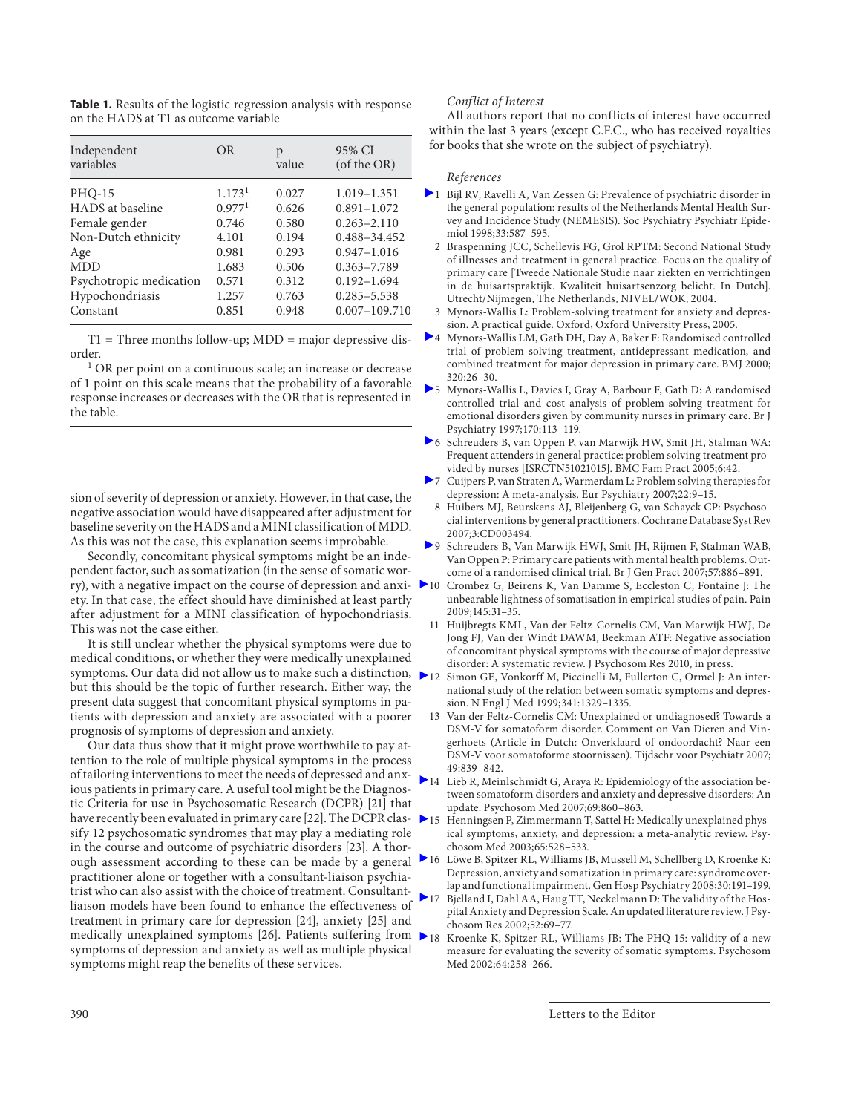**Table 1.** Results of the logistic regression analysis with response on the HADS at T1 as outcome variable

| Independent<br>variables | <b>OR</b>          | p<br>value | 95% CI<br>(of the OR) |
|--------------------------|--------------------|------------|-----------------------|
| <b>PHO-15</b>            | 1.173 <sup>1</sup> | 0.027      | 1.019-1.351           |
| HADS at baseline         | 0.977 <sup>1</sup> | 0.626      | $0.891 - 1.072$       |
| Female gender            | 0.746              | 0.580      | $0.263 - 2.110$       |
| Non-Dutch ethnicity      | 4.101              | 0.194      | 0.488-34.452          |
| Age                      | 0.981              | 0.293      | $0.947 - 1.016$       |
| <b>MDD</b>               | 1.683              | 0.506      | $0.363 - 7.789$       |
| Psychotropic medication  | 0.571              | 0.312      | $0.192 - 1.694$       |
| Hypochondriasis          | 1.257              | 0.763      | $0.285 - 5.538$       |
| Constant                 | 0.851              | 0.948      | $0.007 - 109.710$     |

 $T1 =$ Three months follow-up; MDD = major depressive disorder.

<sup>1</sup> OR per point on a continuous scale; an increase or decrease of 1 point on this scale means that the probability of a favorable response increases or decreases with the OR that is represented in the table.

sion of severity of depression or anxiety. However, in that case, the negative association would have disappeared after adjustment for baseline severity on the HADS and a MINI classification of MDD. As this was not the case, this explanation seems improbable.

 Secondly, concomitant physical symptoms might be an independent factor, such as somatization (in the sense of somatic worry), with a negative impact on the course of depression and anxiety. In that case, the effect should have diminished at least partly after adjustment for a MINI classification of hypochondriasis. This was not the case either.

 It is still unclear whether the physical symptoms were due to medical conditions, or whether they were medically unexplained symptoms. Our data did not allow us to make such a distinction,  $\bigtriangleright$  12 Simon GE, Vonkorff M, Piccinelli M, Fullerton C, Ormel J: An interbut this should be the topic of further research. Either way, the present data suggest that concomitant physical symptoms in patients with depression and anxiety are associated with a poorer prognosis of symptoms of depression and anxiety.

 Our data thus show that it might prove worthwhile to pay attention to the role of multiple physical symptoms in the process of tailoring interventions to meet the needs of depressed and anxious patients in primary care. A useful tool might be the Diagnostic Criteria for use in Psychosomatic Research (DCPR) [21] that have recently been evaluated in primary care [22] . The DCPR classify 12 psychosomatic syndromes that may play a mediating role in the course and outcome of psychiatric disorders [23] . A thorough assessment according to these can be made by a general practitioner alone or together with a consultant-liaison psychiatrist who can also assist with the choice of treatment. Consultantliaison models have been found to enhance the effectiveness of treatment in primary care for depression [24], anxiety [25] and medically unexplained symptoms [26] . Patients suffering from symptoms of depression and anxiety as well as multiple physical symptoms might reap the benefits of these services.

## *Conflict of Interest*

 All authors report that no conflicts of interest have occurred within the last 3 years (except C.F.C., who has received royalties for books that she wrote on the subject of psychiatry).

## *References*

- $\blacktriangleright$  1  $\,$  Bijl RV, Ravelli A, Van Zessen G: Prevalence of psychiatric disorder in the general population: results of the Netherlands Mental Health Survey and Incidence Study (NEMESIS). Soc Psychiatry Psychiatr Epidemiol 1998;33:587–595.
	- 2 Braspenning JCC, Schellevis FG, Grol RPTM: Second National Study of illnesses and treatment in general practice. Focus on the quality of primary care [Tweede Nationale Studie naar ziekten en verrichtingen in de huisartspraktijk. Kwaliteit huisartsenzorg belicht. In Dutch]. Utrecht/Nijmegen, The Netherlands, NIVEL/WOK, 2004.
	- 3 Mynors-Wallis L: Problem-solving treatment for anxiety and depression. A practical guide. Oxford, Oxford University Press, 2005.
- 4 Mynors-Wallis LM, Gath DH, Day A, Baker F: Randomised controlled trial of problem solving treatment, antidepressant medication, and combined treatment for major depression in primary care. BMJ 2000; 320:26–30.
- 5 Mynors-Wallis L, Davies I, Gray A, Barbour F, Gath D: A randomised controlled trial and cost analysis of problem-solving treatment for emotional disorders given by community nurses in primary care. Br J Psychiatry 1997;170:113–119.
- 6 Schreuders B, van Oppen P, van Marwijk HW, Smit JH, Stalman WA: Frequent attenders in general practice: problem solving treatment provided by nurses [ISRCTN51021015]. BMC Fam Pract 2005;6:42.
- 7 Cuijpers P, van Straten A, Warmerdam L: Problem solving therapies for depression: A meta-analysis. Eur Psychiatry 2007;22:9–15.
- 8 Huibers MJ, Beurskens AJ, Bleijenberg G, van Schayck CP: Psychosocial interventions by general practitioners. Cochrane Database Syst Rev 2007;3:CD003494.
- 9 Schreuders B, Van Marwijk HWJ, Smit JH, Rijmen F, Stalman WAB, Van Oppen P: Primary care patients with mental health problems. Outcome of a randomised clinical trial. Br J Gen Pract 2007;57:886–891.
- 10 Crombez G, Beirens K, Van Damme S, Eccleston C, Fontaine J: The unbearable lightness of somatisation in empirical studies of pain. Pain 2009;145:31–35.
- 11 Huijbregts KML, Van der Feltz-Cornelis CM, Van Marwijk HWJ, De Jong FJ, Van der Windt DAWM, Beekman ATF: Negative association of concomitant physical symptoms with the course of major depressive disorder: A systematic review. J Psychosom Res 2010, in press.
- national study of the relation between somatic symptoms and depression. N Engl J Med 1999;341:1329–1335.
- 13 Van der Feltz-Cornelis CM: Unexplained or undiagnosed? Towards a DSM-V for somatoform disorder. Comment on Van Dieren and Vingerhoets (Article in Dutch: Onverklaard of ondoordacht? Naar een DSM-V voor somatoforme stoornissen). Tijdschr voor Psychiatr 2007; 49:839–842.
- $\blacktriangleright$  14 Lieb R, Meinlschmidt G, Araya R: Epidemiology of the association between somatoform disorders and anxiety and depressive disorders: An update. Psychosom Med 2007;69:860–863.
- 15 Henningsen P, Zimmermann T, Sattel H: Medically unexplained physical symptoms, anxiety, and depression: a meta-analytic review. Psychosom Med 2003;65:528–533.
- 16 Löwe B, Spitzer RL, Williams JB, Mussell M, Schellberg D, Kroenke K: Depression, anxiety and somatization in primary care: syndrome overlap and functional impairment. Gen Hosp Psychiatry 2008;30:191–199.
- Bjelland I, Dahl AA, Haug TT, Neckelmann D: The validity of the Hospital Anxiety and Depression Scale. An updated literature review. J Psychosom Res 2002;52:69–77.
- 18 Kroenke K, Spitzer RL, Williams JB: The PHQ-15: validity of a new measure for evaluating the severity of somatic symptoms. Psychosom Med 2002;64:258–266.

390 Letters to the Editor